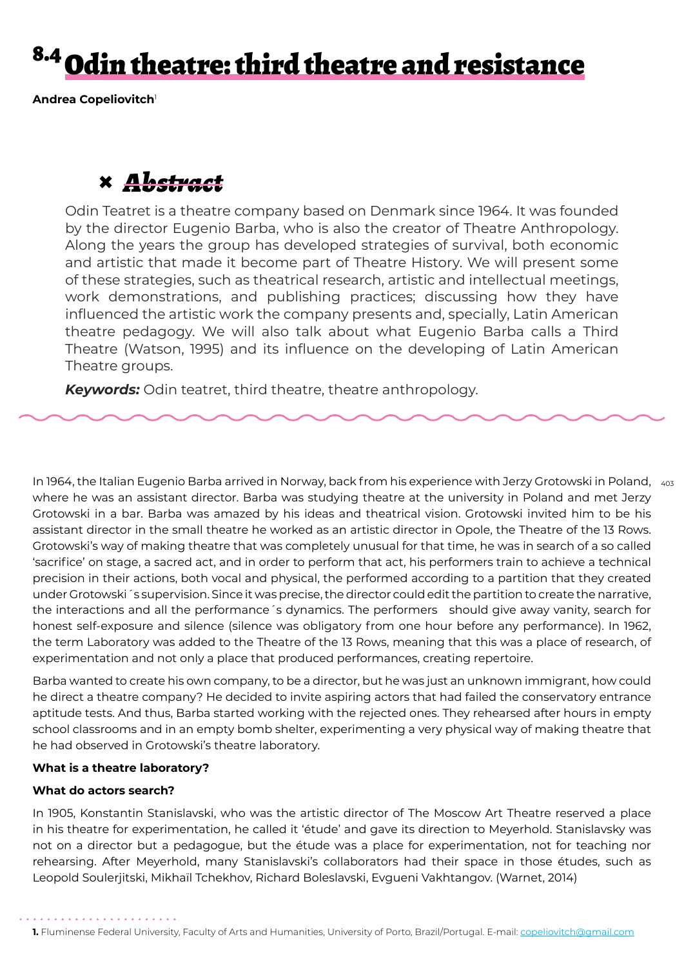## <sup>8.4</sup> Odin theatre: third theatre and resistance

**Andrea Copeliovitch**<sup>1</sup>

## **×** *Abstract*

Odin Teatret is a theatre company based on Denmark since 1964. It was founded by the director Eugenio Barba, who is also the creator of Theatre Anthropology. Along the years the group has developed strategies of survival, both economic and artistic that made it become part of Theatre History. We will present some of these strategies, such as theatrical research, artistic and intellectual meetings, work demonstrations, and publishing practices; discussing how they have influenced the artistic work the company presents and, specially, Latin American theatre pedagogy. We will also talk about what Eugenio Barba calls a Third Theatre (Watson, 1995) and its influence on the developing of Latin American Theatre groups.

*Keywords:* Odin teatret, third theatre, theatre anthropology.

In 1964, the Italian Eugenio Barba arrived in Norway, back from his experience with Jerzy Grotowski in Poland,  $\,$   $_{\rm 403}$ where he was an assistant director. Barba was studying theatre at the university in Poland and met Jerzy Grotowski in a bar. Barba was amazed by his ideas and theatrical vision. Grotowski invited him to be his assistant director in the small theatre he worked as an artistic director in Opole, the Theatre of the 13 Rows. Grotowski's way of making theatre that was completely unusual for that time, he was in search of a so called 'sacrifice' on stage, a sacred act, and in order to perform that act, his performers train to achieve a technical precision in their actions, both vocal and physical, the performed according to a partition that they created under Grotowski´s supervision. Since it was precise, the director could edit the partition to create the narrative, the interactions and all the performance´s dynamics. The performers should give away vanity, search for honest self-exposure and silence (silence was obligatory from one hour before any performance). In 1962, the term Laboratory was added to the Theatre of the 13 Rows, meaning that this was a place of research, of experimentation and not only a place that produced performances, creating repertoire.

Barba wanted to create his own company, to be a director, but he was just an unknown immigrant, how could he direct a theatre company? He decided to invite aspiring actors that had failed the conservatory entrance aptitude tests. And thus, Barba started working with the rejected ones. They rehearsed after hours in empty school classrooms and in an empty bomb shelter, experimenting a very physical way of making theatre that he had observed in Grotowski's theatre laboratory.

### **What is a theatre laboratory?**

### **What do actors search?**

In 1905, Konstantin Stanislavski, who was the artistic director of The Moscow Art Theatre reserved a place in his theatre for experimentation, he called it 'étude' and gave its direction to Meyerhold. Stanislavsky was not on a director but a pedagogue, but the étude was a place for experimentation, not for teaching nor rehearsing. After Meyerhold, many Stanislavski's collaborators had their space in those études, such as Leopold Soulerjitski, Mikhaïl Tchekhov, Richard Boleslavski, Evgueni Vakhtangov. (Warnet, 2014)

**<sup>1.</sup>** Fluminense Federal University, Faculty of Arts and Humanities, University of Porto, Brazil/Portugal. E-mail: copeliovitch@gmail.com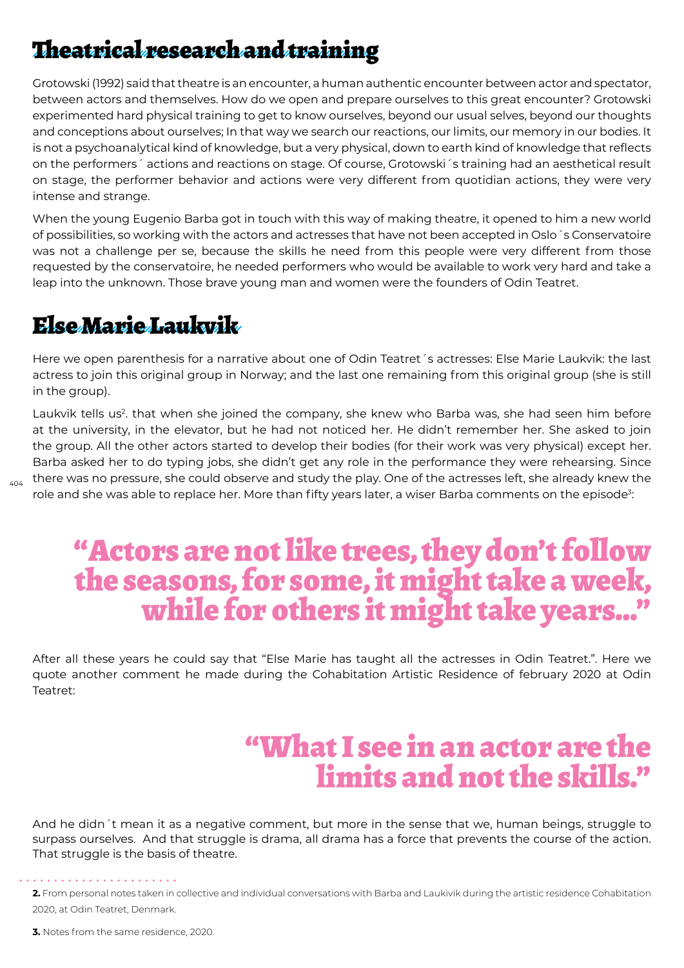### Theatrical research and training

Grotowski (1992) said that theatre is an encounter, a human authentic encounter between actor and spectator, between actors and themselves. How do we open and prepare ourselves to this great encounter? Grotowski experimented hard physical training to get to know ourselves, beyond our usual selves, beyond our thoughts and conceptions about ourselves; In that way we search our reactions, our limits, our memory in our bodies. It is not a psychoanalytical kind of knowledge, but a very physical, down to earth kind of knowledge that reflects on the performers´ actions and reactions on stage. Of course, Grotowski´s training had an aesthetical result on stage, the performer behavior and actions were very different from quotidian actions, they were very intense and strange.

When the young Eugenio Barba got in touch with this way of making theatre, it opened to him a new world of possibilities, so working with the actors and actresses that have not been accepted in Oslo´s Conservatoire was not a challenge per se, because the skills he need from this people were very different from those requested by the conservatoire, he needed performers who would be available to work very hard and take a leap into the unknown. Those brave young man and women were the founders of Odin Teatret.

### Else Marie Laukvik

404

Here we open parenthesis for a narrative about one of Odin Teatret´s actresses: Else Marie Laukvik: the last actress to join this original group in Norway; and the last one remaining from this original group (she is still in the group).

Laukvik tells us<sup>2</sup>. that when she joined the company, she knew who Barba was, she had seen him before at the university, in the elevator, but he had not noticed her. He didn't remember her. She asked to join the group. All the other actors started to develop their bodies (for their work was very physical) except her. Barba asked her to do typing jobs, she didn't get any role in the performance they were rehearsing. Since there was no pressure, she could observe and study the play. One of the actresses left, she already knew the role and she was able to replace her. More than fifty years later, a wiser Barba comments on the episode $\delta$ :

# "Actors are not like trees, they don't follow the seasons, for some, it might take a week, while for others it might take years…"

After all these years he could say that "Else Marie has taught all the actresses in Odin Teatret.". Here we quote another comment he made during the Cohabitation Artistic Residence of february 2020 at Odin Teatret:

## "What I see in an actor are the limits and not the skills."

And he didn´t mean it as a negative comment, but more in the sense that we, human beings, struggle to surpass ourselves. And that struggle is drama, all drama has a force that prevents the course of the action. That struggle is the basis of theatre.

**3.** Notes from the same residence, 2020.

**<sup>2.</sup>** From personal notes taken in collective and individual conversations with Barba and Laukivik during the artistic residence Cohabitation 2020, at Odin Teatret, Denmark.